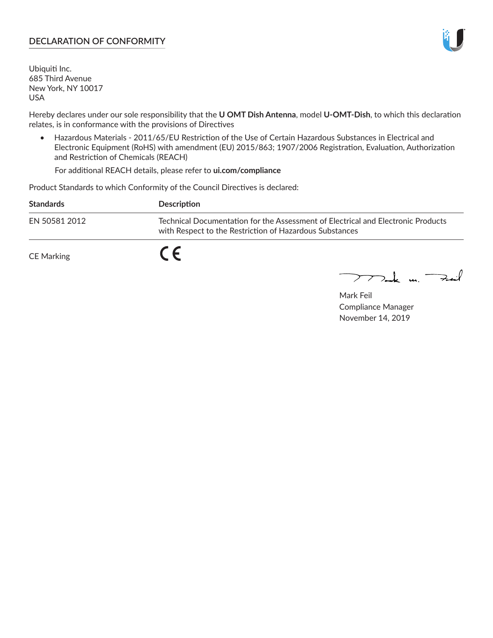### **DECLARATION OF CONFORMITY**

Ubiquiti Inc. 685 Third Avenue New York, NY 10017 USA

Hereby declares under our sole responsibility that the **U OMT Dish Antenna**, model **U-OMT-Dish**, to which this declaration relates, is in conformance with the provisions of Directives

• Hazardous Materials - 2011/65/EU Restriction of the Use of Certain Hazardous Substances in Electrical and Electronic Equipment (RoHS) with amendment (EU) 2015/863; 1907/2006 Registration, Evaluation, Authorization and Restriction of Chemicals (REACH)

For additional REACH details, please refer to **ui.com/compliance**

Product Standards to which Conformity of the Council Directives is declared:

| <b>Standards</b> | <b>Description</b>                                                                                                                          |
|------------------|---------------------------------------------------------------------------------------------------------------------------------------------|
| EN 50581 2012    | Technical Documentation for the Assessment of Electrical and Electronic Products<br>with Respect to the Restriction of Hazardous Substances |
| CE Marking       |                                                                                                                                             |

 $\sum_{n=1}^{\infty}$  un  $\sum_{n=1}^{\infty}$ 

Mark Feil Compliance Manager November 14, 2019

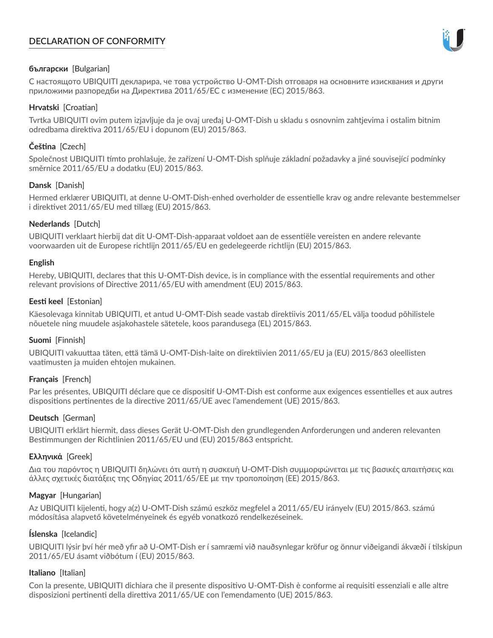# **DECLARATION OF CONFORMITY**



## **български** [Bulgarian]

С настоящото UBIQUITI декларира, че това устройство U-OMT-Dish отговаря на основните изисквания и други приложими разпоредби на Директива 2011/65/ЕС с изменение (ЕС) 2015/863.

# **Hrvatski** [Croatian]

Tvrtka UBIQUITI ovim putem izjavljuje da je ovaj uređaj U-OMT-Dish u skladu s osnovnim zahtjevima i ostalim bitnim odredbama direktiva 2011/65/EU i dopunom (EU) 2015/863.

# **Čeština** [Czech]

Společnost UBIQUITI tímto prohlašuje, že zařízení U-OMT-Dish splňuje základní požadavky a jiné související podmínky směrnice 2011/65/EU a dodatku (EU) 2015/863.

## **Dansk** [Danish]

Hermed erklærer UBIQUITI, at denne U-OMT-Dish-enhed overholder de essentielle krav og andre relevante bestemmelser i direktivet 2011/65/EU med tillæg (EU) 2015/863.

## **Nederlands** [Dutch]

UBIQUITI verklaart hierbij dat dit U-OMT-Dish-apparaat voldoet aan de essentiële vereisten en andere relevante voorwaarden uit de Europese richtlijn 2011/65/EU en gedelegeerde richtlijn (EU) 2015/863.

### **English**

Hereby, UBIQUITI, declares that this U-OMT-Dish device, is in compliance with the essential requirements and other relevant provisions of Directive 2011/65/EU with amendment (EU) 2015/863.

## **Eesti keel** [Estonian]

Käesolevaga kinnitab UBIQUITI, et antud U-OMT-Dish seade vastab direktiivis 2011/65/EL välja toodud põhilistele nõuetele ning muudele asjakohastele sätetele, koos parandusega (EL) 2015/863.

## **Suomi** [Finnish]

UBIQUITI vakuuttaa täten, että tämä U-OMT-Dish-laite on direktiivien 2011/65/EU ja (EU) 2015/863 oleellisten vaatimusten ja muiden ehtojen mukainen.

## **Français** [French]

Par les présentes, UBIQUITI déclare que ce dispositif U-OMT-Dish est conforme aux exigences essentielles et aux autres dispositions pertinentes de la directive 2011/65/UE avec l'amendement (UE) 2015/863.

## **Deutsch** [German]

UBIQUITI erklärt hiermit, dass dieses Gerät U-OMT-Dish den grundlegenden Anforderungen und anderen relevanten Bestimmungen der Richtlinien 2011/65/EU und (EU) 2015/863 entspricht.

## **Ελληνικά** [Greek]

Δια του παρόντος η UBIQUITI δηλώνει ότι αυτή η συσκευή U-OMT-Dish συμμορφώνεται με τις βασικές απαιτήσεις και άλλες σχετικές διατάξεις της Οδηγίας 2011/65/ΕΕ με την τροποποίηση (ΕΕ) 2015/863.

## **Magyar** [Hungarian]

Az UBIQUITI kijelenti, hogy a(z) U-OMT-Dish számú eszköz megfelel a 2011/65/EU irányelv (EU) 2015/863. számú módosítása alapvető követelményeinek és egyéb vonatkozó rendelkezéseinek.

## **Íslenska** [Icelandic]

UBIQUITI lýsir því hér með yfir að U-OMT-Dish er í samræmi við nauðsynlegar kröfur og önnur viðeigandi ákvæði í tilskipun 2011/65/EU ásamt viðbótum í (EU) 2015/863.

#### **Italiano** [Italian]

Con la presente, UBIQUITI dichiara che il presente dispositivo U-OMT-Dish è conforme ai requisiti essenziali e alle altre disposizioni pertinenti della direttiva 2011/65/UE con l'emendamento (UE) 2015/863.